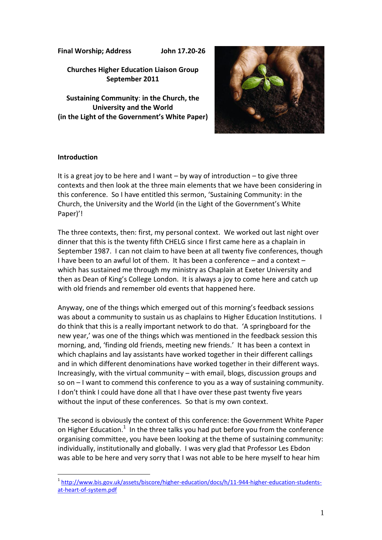**Final Worship; Address John 17.20-26**

**Churches Higher Education Liaison Group September 2011**

**Sustaining Community**: **in the Church, the University and the World (in the Light of the Government's White Paper)**



# **Introduction**

<u>.</u>

It is a great joy to be here and I want – by way of introduction – to give three contexts and then look at the three main elements that we have been considering in this conference. So I have entitled this sermon, 'Sustaining Community: in the Church, the University and the World (in the Light of the Government's White Paper)'!

The three contexts, then: first, my personal context. We worked out last night over dinner that this is the twenty fifth CHELG since I first came here as a chaplain in September 1987. I can not claim to have been at all twenty five conferences, though I have been to an awful lot of them. It has been a conference – and a context – which has sustained me through my ministry as Chaplain at Exeter University and then as Dean of King's College London. It is always a joy to come here and catch up with old friends and remember old events that happened here.

Anyway, one of the things which emerged out of this morning's feedback sessions was about a community to sustain us as chaplains to Higher Education Institutions. I do think that this is a really important network to do that. 'A springboard for the new year,' was one of the things which was mentioned in the feedback session this morning, and, 'finding old friends, meeting new friends.' It has been a context in which chaplains and lay assistants have worked together in their different callings and in which different denominations have worked together in their different ways. Increasingly, with the virtual community – with email, blogs, discussion groups and so on – I want to commend this conference to you as a way of sustaining community. I don't think I could have done all that I have over these past twenty five years without the input of these conferences. So that is my own context.

The second is obviously the context of this conference: the Government White Paper on Higher Education. $1$  In the three talks you had put before you from the conference organising committee, you have been looking at the theme of sustaining community: individually, institutionally and globally. I was very glad that Professor Les Ebdon was able to be here and very sorry that I was not able to be here myself to hear him

<sup>&</sup>lt;sup>1</sup> [http://www.bis.gov.uk/assets/biscore/higher-education/docs/h/11-944-higher-education-students](http://www.bis.gov.uk/assets/biscore/higher-education/docs/h/11-944-higher-education-students-at-heart-of-system.pdf)[at-heart-of-system.pdf](http://www.bis.gov.uk/assets/biscore/higher-education/docs/h/11-944-higher-education-students-at-heart-of-system.pdf)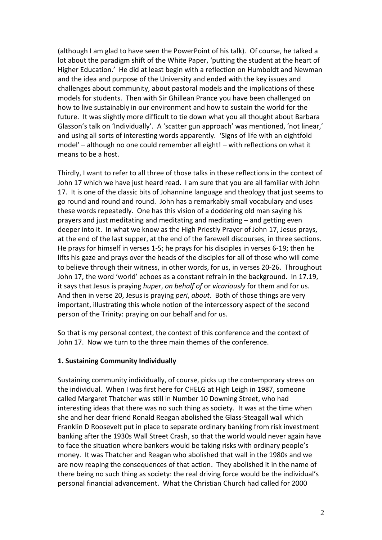(although I am glad to have seen the PowerPoint of his talk). Of course, he talked a lot about the paradigm shift of the White Paper, 'putting the student at the heart of Higher Education.' He did at least begin with a reflection on Humboldt and Newman and the idea and purpose of the University and ended with the key issues and challenges about community, about pastoral models and the implications of these models for students. Then with Sir Ghillean Prance you have been challenged on how to live sustainably in our environment and how to sustain the world for the future. It was slightly more difficult to tie down what you all thought about Barbara Glasson's talk on 'Individually'. A 'scatter gun approach' was mentioned, 'not linear,' and using all sorts of interesting words apparently. 'Signs of life with an eightfold model' – although no one could remember all eight! – with reflections on what it means to be a host.

Thirdly, I want to refer to all three of those talks in these reflections in the context of John 17 which we have just heard read. I am sure that you are all familiar with John 17. It is one of the classic bits of Johannine language and theology that just seems to go round and round and round. John has a remarkably small vocabulary and uses these words repeatedly. One has this vision of a doddering old man saying his prayers and just meditating and meditating and meditating – and getting even deeper into it. In what we know as the High Priestly Prayer of John 17, Jesus prays, at the end of the last supper, at the end of the farewell discourses, in three sections. He prays for himself in verses 1-5; he prays for his disciples in verses 6-19; then he lifts his gaze and prays over the heads of the disciples for all of those who will come to believe through their witness, in other words, for us, in verses 20-26. Throughout John 17, the word 'world' echoes as a constant refrain in the background. In 17.19, it says that Jesus is praying *huper*, *on behalf of* or *vicariously* for them and for us. And then in verse 20, Jesus is praying *peri*, *about*. Both of those things are very important, illustrating this whole notion of the intercessory aspect of the second person of the Trinity: praying on our behalf and for us.

So that is my personal context, the context of this conference and the context of John 17. Now we turn to the three main themes of the conference.

# **1. Sustaining Community Individually**

Sustaining community individually, of course, picks up the contemporary stress on the individual. When I was first here for CHELG at High Leigh in 1987, someone called Margaret Thatcher was still in Number 10 Downing Street, who had interesting ideas that there was no such thing as society. It was at the time when she and her dear friend Ronald Reagan abolished the Glass-Steagall wall which Franklin D Roosevelt put in place to separate ordinary banking from risk investment banking after the 1930s Wall Street Crash, so that the world would never again have to face the situation where bankers would be taking risks with ordinary people's money. It was Thatcher and Reagan who abolished that wall in the 1980s and we are now reaping the consequences of that action. They abolished it in the name of there being no such thing as society: the real driving force would be the individual's personal financial advancement. What the Christian Church had called for 2000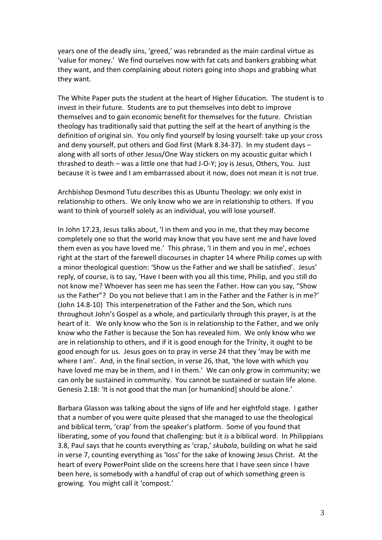years one of the deadly sins, 'greed,' was rebranded as the main cardinal virtue as 'value for money.' We find ourselves now with fat cats and bankers grabbing what they want, and then complaining about rioters going into shops and grabbing what they want.

The White Paper puts the student at the heart of Higher Education. The student is to invest in their future. Students are to put themselves into debt to improve themselves and to gain economic benefit for themselves for the future. Christian theology has traditionally said that putting the self at the heart of anything is the definition of original sin. You only find yourself by losing yourself: take up your cross and deny yourself, put others and God first (Mark 8.34-37). In my student days – along with all sorts of other Jesus/One Way stickers on my acoustic guitar which I thrashed to death – was a little one that had J-O-Y; joy is Jesus, Others, You. Just because it is twee and I am embarrassed about it now, does not mean it is not true.

Archbishop Desmond Tutu describes this as Ubuntu Theology: we only exist in relationship to others. We only know who we are in relationship to others. If you want to think of yourself solely as an individual, you will lose yourself.

In John 17.23, Jesus talks about, 'I in them and you in me, that they may become completely one so that the world may know that you have sent me and have loved them even as you have loved me.' This phrase, 'I in them and you in me', echoes right at the start of the farewell discourses in chapter 14 where Philip comes up with a minor theological question: 'Show us the Father and we shall be satisfied'. Jesus' reply, of course, is to say, 'Have I been with you all this time, Philip, and you still do not know me? Whoever has seen me has seen the Father. How can you say, "Show us the Father"? Do you not believe that I am in the Father and the Father is in me?' (John 14.8-10) This interpenetration of the Father and the Son, which runs throughout John's Gospel as a whole, and particularly through this prayer, is at the heart of it. We only know who the Son is in relationship to the Father, and we only know who the Father is because the Son has revealed him. We only know who we are in relationship to others, and if it is good enough for the Trinity, it ought to be good enough for us. Jesus goes on to pray in verse 24 that they 'may be with me where I am'. And, in the final section, in verse 26, that, 'the love with which you have loved me may be in them, and I in them.' We can only grow in community; we can only be sustained in community. You cannot be sustained or sustain life alone. Genesis 2.18: 'It is not good that the man [or humankind] should be alone.'

Barbara Glasson was talking about the signs of life and her eightfold stage. I gather that a number of you were quite pleased that she managed to use the theological and biblical term, 'crap' from the speaker's platform. Some of you found that liberating, some of you found that challenging: but it *is* a biblical word. In Philippians 3.8, Paul says that he counts everything as 'crap,' *skubala*, building on what he said in verse 7, counting everything as 'loss' for the sake of knowing Jesus Christ. At the heart of every PowerPoint slide on the screens here that I have seen since I have been here, is somebody with a handful of crap out of which something green is growing. You might call it 'compost.'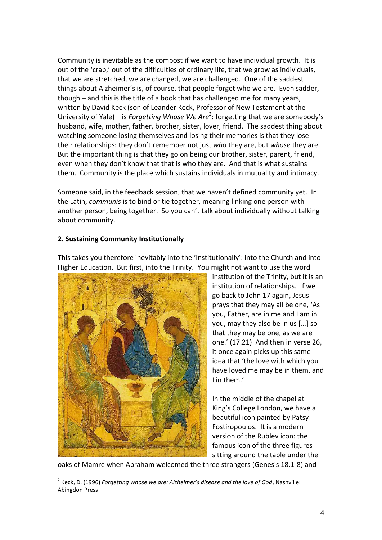Community is inevitable as the compost if we want to have individual growth. It is out of the 'crap,' out of the difficulties of ordinary life, that we grow as individuals, that we are stretched, we are changed, we are challenged. One of the saddest things about Alzheimer's is, of course, that people forget who we are. Even sadder, though – and this is the title of a book that has challenged me for many years, written by David Keck (son of Leander Keck, Professor of New Testament at the University of Yale) – is *Forgetting Whose We Are*<sup>2</sup>: forgetting that we are somebody's husband, wife, mother, father, brother, sister, lover, friend. The saddest thing about watching someone losing themselves and losing their memories is that they lose their relationships: they don't remember not just *who* they are, but *whose* they are. But the important thing is that they go on being our brother, sister, parent, friend, even when they don't know that that is who they are. And that is what sustains them. Community is the place which sustains individuals in mutuality and intimacy.

Someone said, in the feedback session, that we haven't defined community yet. In the Latin, *communis* is to bind or tie together, meaning linking one person with another person, being together. So you can't talk about individually without talking about community.

## **2. Sustaining Community Institutionally**



<u>.</u>

This takes you therefore inevitably into the 'Institutionally': into the Church and into Higher Education. But first, into the Trinity. You might not want to use the word

institution of the Trinity, but it is an institution of relationships. If we go back to John 17 again, Jesus prays that they may all be one, 'As you, Father, are in me and I am in you, may they also be in us [...] so that they may be one, as we are one.' (17.21) And then in verse 26, it once again picks up this same idea that 'the love with which you have loved me may be in them, and I in them.'

In the middle of the chapel at King's College London, we have a beautiful icon painted by Patsy Fostiropoulos. It is a modern version of the Rublev icon: the famous icon of the three figures sitting around the table under the

oaks of Mamre when Abraham welcomed the three strangers (Genesis 18.1-8) and

2 Keck, D. (1996) *Forgetting whose we are: Alzheimer's disease and the love of God*, Nashville: Abingdon Press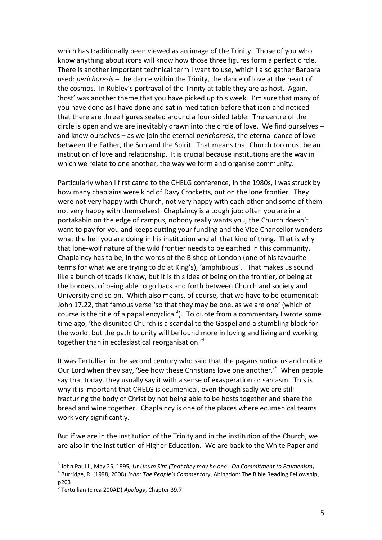which has traditionally been viewed as an image of the Trinity. Those of you who know anything about icons will know how those three figures form a perfect circle. There is another important technical term I want to use, which I also gather Barbara used: *perichoresis* – the dance within the Trinity, the dance of love at the heart of the cosmos. In Rublev's portrayal of the Trinity at table they are as host. Again, 'host' was another theme that you have picked up this week. I'm sure that many of you have done as I have done and sat in meditation before that icon and noticed that there are three figures seated around a four-sided table. The centre of the circle is open and we are inevitably drawn into the circle of love. We find ourselves – and know ourselves – as we join the eternal *perichoresis*, the eternal dance of love between the Father, the Son and the Spirit. That means that Church too must be an institution of love and relationship. It is crucial because institutions are the way in which we relate to one another, the way we form and organise community.

Particularly when I first came to the CHELG conference, in the 1980s, I was struck by how many chaplains were kind of Davy Crocketts, out on the lone frontier. They were not very happy with Church, not very happy with each other and some of them not very happy with themselves! Chaplaincy is a tough job: often you are in a portakabin on the edge of campus, nobody really wants you, the Church doesn't want to pay for you and keeps cutting your funding and the Vice Chancellor wonders what the hell you are doing in his institution and all that kind of thing. That is why that lone-wolf nature of the wild frontier needs to be earthed in this community. Chaplaincy has to be, in the words of the Bishop of London (one of his favourite terms for what we are trying to do at King's), 'amphibious'. That makes us sound like a bunch of toads I know, but it is this idea of being on the frontier, of being at the borders, of being able to go back and forth between Church and society and University and so on. Which also means, of course, that we have to be ecumenical: John 17.22, that famous verse 'so that they may be one, as we are one' (which of course is the title of a papal encyclical<sup>3</sup>). To quote from a commentary I wrote some time ago, 'the disunited Church is a scandal to the Gospel and a stumbling block for the world, but the path to unity will be found more in loving and living and working together than in ecclesiastical reorganisation.'<sup>4</sup>

It was Tertullian in the second century who said that the pagans notice us and notice Our Lord when they say, 'See how these Christians love one another.'<sup>5</sup> When people say that today, they usually say it with a sense of exasperation or sarcasm. This is why it is important that CHELG is ecumenical, even though sadly we are still fracturing the body of Christ by not being able to be hosts together and share the bread and wine together. Chaplaincy is one of the places where ecumenical teams work very significantly.

But if we are in the institution of the Trinity and in the institution of the Church, we are also in the institution of Higher Education. We are back to the White Paper and

<u>.</u>

<sup>3</sup> John Paul II, May 25, 1995*, [Ut Unum Sint](http://www.vatican.va/holy_father/john_paul_ii/encyclicals/documents/hf_jp-ii_enc_25051995_ut-unum-sint_en.html) (That they may be one - On Commitment to Ecumenism)*

<sup>4</sup> Burridge, R. (1998, 2008) *John: The People's Commentary*, Abingdon: The Bible Reading Fellowship, p203

<sup>5</sup> Tertullian (circa 200AD) *Apology*, Chapter 39.7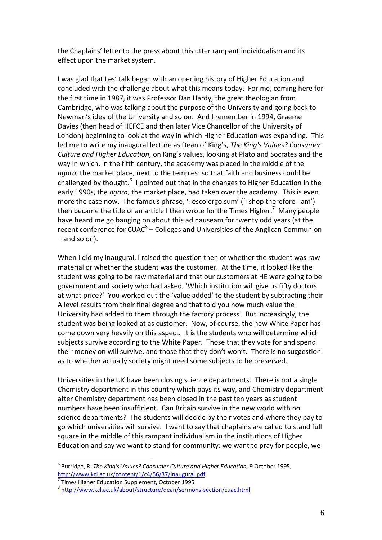the Chaplains' letter to the press about this utter rampant individualism and its effect upon the market system.

I was glad that Les' talk began with an opening history of Higher Education and concluded with the challenge about what this means today. For me, coming here for the first time in 1987, it was Professor Dan Hardy, the great theologian from Cambridge, who was talking about the purpose of the University and going back to Newman's idea of the University and so on. And I remember in 1994, Graeme Davies (then head of HEFCE and then later Vice Chancellor of the University of London) beginning to look at the way in which Higher Education was expanding. This led me to write my inaugural lecture as Dean of King's, *The King's Values? Consumer Culture and Higher Education*, on King's values, looking at Plato and Socrates and the way in which, in the fifth century, the academy was placed in the middle of the *agora*, the market place, next to the temples: so that faith and business could be challenged by thought.<sup>6</sup> I pointed out that in the changes to Higher Education in the early 1990s, the *agora*, the market place, had taken over the academy. This is even more the case now. The famous phrase, 'Tesco ergo sum' ('I shop therefore I am') then became the title of an article I then wrote for the Times Higher.<sup>7</sup> Many people have heard me go banging on about this ad nauseam for twenty odd years (at the recent conference for  $\text{CUAC}^8 - \text{Colleges}$  and Universities of the Anglican Communion – and so on).

When I did my inaugural, I raised the question then of whether the student was raw material or whether the student was the customer. At the time, it looked like the student was going to be raw material and that our customers at HE were going to be government and society who had asked, 'Which institution will give us fifty doctors at what price?' You worked out the 'value added' to the student by subtracting their A level results from their final degree and that told you how much value the University had added to them through the factory process! But increasingly, the student was being looked at as customer. Now, of course, the new White Paper has come down very heavily on this aspect. It is the students who will determine which subjects survive according to the White Paper. Those that they vote for and spend their money on will survive, and those that they don't won't. There is no suggestion as to whether actually society might need some subjects to be preserved.

Universities in the UK have been closing science departments. There is not a single Chemistry department in this country which pays its way, and Chemistry department after Chemistry department has been closed in the past ten years as student numbers have been insufficient. Can Britain survive in the new world with no science departments? The students will decide by their votes and where they pay to go which universities will survive. I want to say that chaplains are called to stand full square in the middle of this rampant individualism in the institutions of Higher Education and say we want to stand for community: we want to pray for people, we

<u>.</u>

<sup>6</sup> Burridge, R. *The King's Values? Consumer Culture and Higher Education,* 9 October 1995, <http://www.kcl.ac.uk/content/1/c4/56/37/inaugural.pdf>

<sup>7</sup> Times Higher Education Supplement, October 1995

<sup>8</sup> <http://www.kcl.ac.uk/about/structure/dean/sermons-section/cuac.html>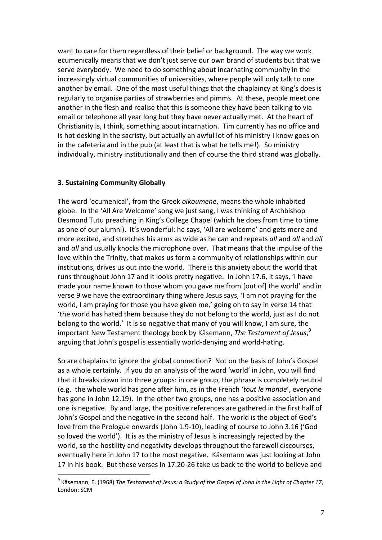want to care for them regardless of their belief or background. The way we work ecumenically means that we don't just serve our own brand of students but that we serve everybody. We need to do something about incarnating community in the increasingly virtual communities of universities, where people will only talk to one another by email. One of the most useful things that the chaplaincy at King's does is regularly to organise parties of strawberries and pimms. At these, people meet one another in the flesh and realise that this is someone they have been talking to via email or telephone all year long but they have never actually met. At the heart of Christianity is, I think, something about incarnation. Tim currently has no office and is hot desking in the sacristy, but actually an awful lot of his ministry I know goes on in the cafeteria and in the pub (at least that is what he tells me!). So ministry individually, ministry institutionally and then of course the third strand was globally.

#### **3. Sustaining Community Globally**

<u>.</u>

The word 'ecumenical', from the Greek *oikoumene*, means the whole inhabited globe. In the 'All Are Welcome' song we just sang, I was thinking of Archbishop Desmond Tutu preaching in King's College Chapel (which he does from time to time as one of our alumni). It's wonderful: he says, 'All are welcome' and gets more and more excited, and stretches his arms as wide as he can and repeats *all* and *all* and *all* and *all* and usually knocks the microphone over. That means that the impulse of the love within the Trinity, that makes us form a community of relationships within our institutions, drives us out into the world. There is this anxiety about the world that runs throughout John 17 and it looks pretty negative. In John 17.6, it says, 'I have made your name known to those whom you gave me from [out of] the world' and in verse 9 we have the extraordinary thing where Jesus says, 'I am not praying for the world, I am praying for those you have given me,' going on to say in verse 14 that 'the world has hated them because they do not belong to the world, just as I do not belong to the world.' It is so negative that many of you will know, I am sure, the important New Testament theology book by Käsemann, *The Testament of Jesus*, 9 arguing that John's gospel is essentially world-denying and world-hating.

So are chaplains to ignore the global connection? Not on the basis of John's Gospel as a whole certainly. If you do an analysis of the word 'world' in John, you will find that it breaks down into three groups: in one group, the phrase is completely neutral (e.g. the whole world has gone after him, as in the French '*tout le monde*', everyone has gone in John 12.19). In the other two groups, one has a positive association and one is negative. By and large, the positive references are gathered in the first half of John's Gospel and the negative in the second half. The world is the object of God's love from the Prologue onwards (John 1.9-10), leading of course to John 3.16 ('God so loved the world'). It is as the ministry of Jesus is increasingly rejected by the world, so the hostility and negativity develops throughout the farewell discourses, eventually here in John 17 to the most negative. Käsemann was just looking at John 17 in his book. But these verses in 17.20-26 take us back to the world to believe and

<sup>9</sup> Käsemann, E. (1968) *The Testament of Jesus: a Study of the Gospel of John in the Light of Chapter 17*, London: SCM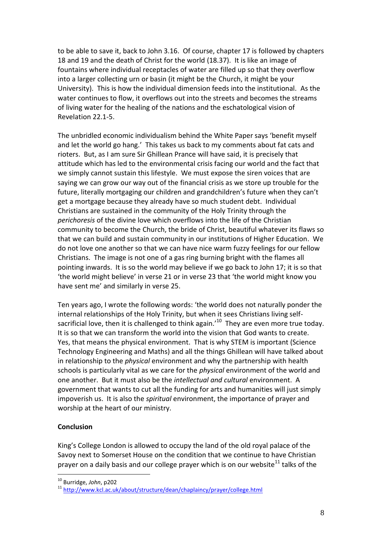to be able to save it, back to John 3.16. Of course, chapter 17 is followed by chapters 18 and 19 and the death of Christ for the world (18.37). It is like an image of fountains where individual receptacles of water are filled up so that they overflow into a larger collecting urn or basin (it might be the Church, it might be your University). This is how the individual dimension feeds into the institutional. As the water continues to flow, it overflows out into the streets and becomes the streams of living water for the healing of the nations and the eschatological vision of Revelation 22.1-5.

The unbridled economic individualism behind the White Paper says 'benefit myself and let the world go hang.' This takes us back to my comments about fat cats and rioters. But, as I am sure Sir Ghillean Prance will have said, it is precisely that attitude which has led to the environmental crisis facing our world and the fact that we simply cannot sustain this lifestyle. We must expose the siren voices that are saying we can grow our way out of the financial crisis as we store up trouble for the future, literally mortgaging our children and grandchildren's future when they can't get a mortgage because they already have so much student debt. Individual Christians are sustained in the community of the Holy Trinity through the *perichoresis* of the divine love which overflows into the life of the Christian community to become the Church, the bride of Christ, beautiful whatever its flaws so that we can build and sustain community in our institutions of Higher Education. We do not love one another so that we can have nice warm fuzzy feelings for our fellow Christians. The image is not one of a gas ring burning bright with the flames all pointing inwards. It is so the world may believe if we go back to John 17; it is so that 'the world might believe' in verse 21 or in verse 23 that 'the world might know you have sent me' and similarly in verse 25.

Ten years ago, I wrote the following words: 'the world does not naturally ponder the internal relationships of the Holy Trinity, but when it sees Christians living selfsacrificial love, then it is challenged to think again.<sup>10</sup> They are even more true today. It is so that we can transform the world into the vision that God wants to create. Yes, that means the physical environment. That is why STEM is important (Science Technology Engineering and Maths) and all the things Ghillean will have talked about in relationship to the *physical* environment and why the partnership with health schools is particularly vital as we care for the *physical* environment of the world and one another. But it must also be the *intellectual and cultural* environment. A government that wants to cut all the funding for arts and humanities will just simply impoverish us. It is also the *spiritual* environment, the importance of prayer and worship at the heart of our ministry.

### **Conclusion**

<u>.</u>

King's College London is allowed to occupy the land of the old royal palace of the Savoy next to Somerset House on the condition that we continue to have Christian prayer on a daily basis and our college prayer which is on our website $^{11}$  talks of the

<sup>10</sup> Burridge, *John*, p202

<sup>11</sup> <http://www.kcl.ac.uk/about/structure/dean/chaplaincy/prayer/college.html>